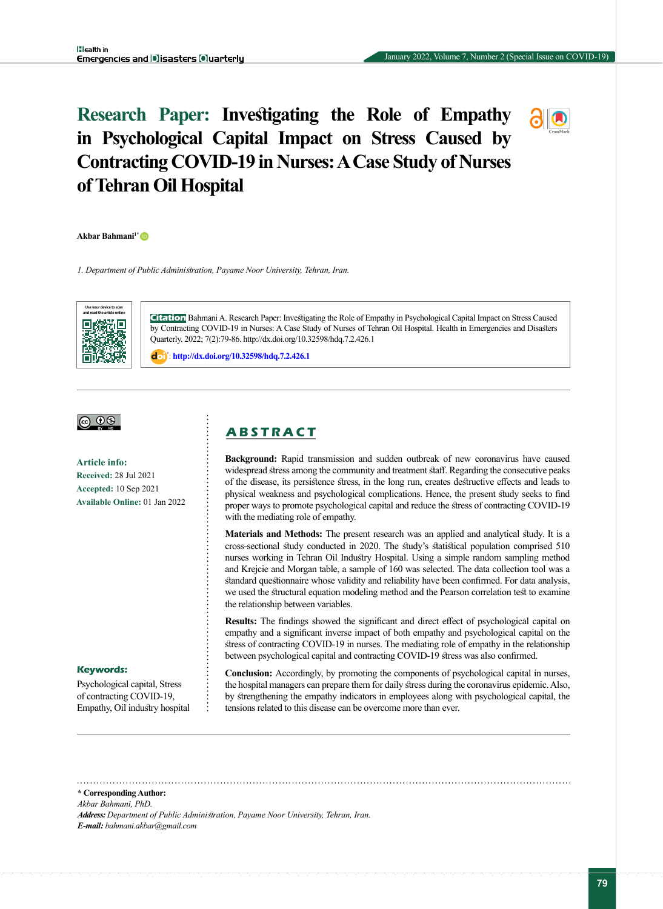# **Research Paper: Investigating the Role of Empathy in Psychological Capital Impact on Stress Caused by Contracting COVID-19 in Nurses: A Case Study of Nurses of Tehran Oil Hospital**

**Akbar Bahmani1[\\*](https://orcid.org/0000-0002-1705-1272)** 

*1. Department of Public Administration, Payame Noor University, Tehran, Iran.*



**Citation** Bahmani A. Research Paper: Investigating the Role of Empathy in Psychological Capital Impact on Stress Caused by Contracting COVID-19 in Nurses: A Case Study of Nurses of Tehran Oil Hospital. Health in Emergencies and Disasters Quarterly. 2022; 7(2):79-86. http://dx.doi.org/10.32598/hdq.7.2.426.1

: **http://dx.doi.org/10.32598/hdq.7.2.426.1**

# <u>@ 00</u>

**Article info: Received:** 28 Jul 2021 **Accepted:** 10 Sep 2021 **Available Online:** 01 Jan 2022

# **A B S T R A C T**

**Background:** Rapid transmission and sudden outbreak of new coronavirus have caused widespread stress among the community and treatment staff. Regarding the consecutive peaks of the disease, its persistence stress, in the long run, creates destructive effects and leads to physical weakness and psychological complications. Hence, the present study seeks to find proper ways to promote psychological capital and reduce the stress of contracting COVID-19 with the mediating role of empathy.

**Materials and Methods:** The present research was an applied and analytical study. It is a cross-sectional study conducted in 2020. The study's statistical population comprised 510 nurses working in Tehran Oil Industry Hospital. Using a simple random sampling method and Krejcie and Morgan table, a sample of 160 was selected. The data collection tool was a standard questionnaire whose validity and reliability have been confirmed. For data analysis, we used the structural equation modeling method and the Pearson correlation test to examine the relationship between variables.

**Results:** The findings showed the significant and direct effect of psychological capital on empathy and a significant inverse impact of both empathy and psychological capital on the stress of contracting COVID-19 in nurses. The mediating role of empathy in the relationship between psychological capital and contracting COVID-19 stress was also confirmed.

#### **Keywords:**

Psychological capital, Stress of contracting COVID-19, Empathy, Oil industry hospital **Conclusion:** Accordingly, by promoting the components of psychological capital in nurses, the hospital managers can prepare them for daily stress during the coronavirus epidemic. Also, by strengthening the empathy indicators in employees along with psychological capital, the tensions related to this disease can be overcome more than ever.

**\* Corresponding Author:**

*Akbar Bahmani, PhD.*

*Address: Department of Public Administration, Payame Noor University, Tehran, Iran. E-mail: bahmani.akbar@gmail.com*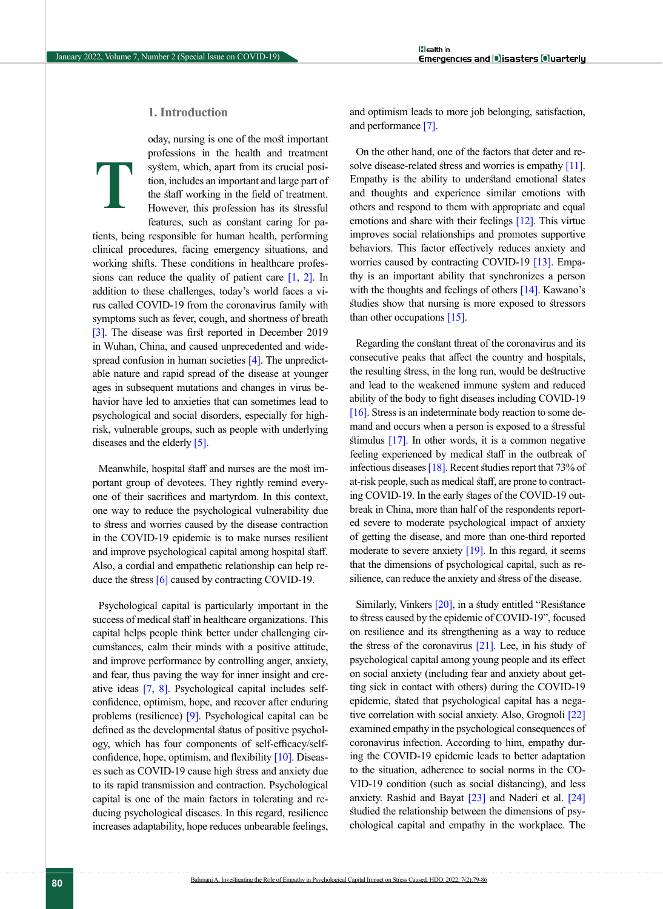# **1. Introduction**

oday, nursing is one of the most important professions in the health and treatment system, which, apart from its crucial position, includes an important and large part of the staff working in the field of treatment. However, this profession has its stressful features, such as constant caring for pa-**T**

tients, being responsible for human health, performing clinical procedures, facing emergency situations, and working shifts. These conditions in healthcare professions can reduce the quality of patient care  $[1, 2]$  $[1, 2]$  $[1, 2]$ . In addition to these challenges, today's world faces a virus called COVID-19 from the coronavirus family with symptoms such as fever, cough, and shortness of breath [\[3\]](#page-6-2). The disease was first reported in December 2019 in Wuhan, China, and caused unprecedented and widespread confusion in human societies [4]. The unpredictable nature and rapid spread of the disease at younger ages in subsequent mutations and changes in virus behavior have led to anxieties that can sometimes lead to psychological and social disorders, especially for highrisk, vulnerable groups, such as people with underlying diseases and the elderly [\[5\].](#page-6-3)

Meanwhile, hospital staff and nurses are the most important group of devotees. They rightly remind everyone of their sacrifices and martyrdom. In this context, one way to reduce the psychological vulnerability due to stress and worries caused by the disease contraction in the COVID-19 epidemic is to make nurses resilient and improve psychological capital among hospital staff. Also, a cordial and empathetic relationship can help re-duce the stress [\[6\]](#page-6-4) caused by contracting COVID-19.

Psychological capital is particularly important in the success of medical staff in healthcare organizations. This capital helps people think better under challenging circumstances, calm their minds with a positive attitude, and improve performance by controlling anger, anxiety, and fear, thus paving the way for inner insight and creative ideas [\[7,](#page-6-5) [8\]](#page-6-6). Psychological capital includes selfconfidence, optimism, hope, and recover after enduring problems (resilience) [\[9\].](#page-6-7) Psychological capital can be defined as the developmental status of positive psychology, which has four components of self-efficacy/self-confidence, hope, optimism, and flexibility [\[10\]](#page-6-8). Diseases such as COVID-19 cause high stress and anxiety due to its rapid transmission and contraction. Psychological capital is one of the main factors in tolerating and reducing psychological diseases. In this regard, resilience increases adaptability, hope reduces unbearable feelings,

and optimism leads to more job belonging, satisfaction, and performance [\[7\].](#page-6-5)

On the other hand, one of the factors that deter and resolve disease-related stress and worries is empathy [11]. Empathy is the ability to understand emotional states and thoughts and experience similar emotions with others and respond to them with appropriate and equal emotions and share with their feelings [12]. This virtue improves social relationships and promotes supportive behaviors. This factor effectively reduces anxiety and worries caused by contracting COVID-19 [\[13\].](#page-6-9) Empathy is an important ability that synchronizes a person with the thoughts and feelings of others [\[14\].](#page-6-10) Kawano's studies show that nursing is more exposed to stressors than other occupations [\[15\]](#page-6-11).

Regarding the constant threat of the coronavirus and its consecutive peaks that affect the country and hospitals, the resulting stress, in the long run, would be destructive and lead to the weakened immune system and reduced ability of the body to fight diseases including COVID-19 [\[16\]](#page-6-12). Stress is an indeterminate body reaction to some demand and occurs when a person is exposed to a stressful stimulus [17]. In other words, it is a common negative feeling experienced by medical staff in the outbreak of infectious diseases [\[18\].](#page-6-13) Recent studies report that 73% of at-risk people, such as medical staff, are prone to contracting COVID-19. In the early stages of the COVID-19 outbreak in China, more than half of the respondents reported severe to moderate psychological impact of anxiety of getting the disease, and more than one-third reported moderate to severe anxiety  $[19]$ . In this regard, it seems that the dimensions of psychological capital, such as resilience, can reduce the anxiety and stress of the disease.

Similarly, Vinkers [\[20\]](#page-7-1), in a study entitled "Resistance" to stress caused by the epidemic of COVID-19", focused on resilience and its strengthening as a way to reduce the stress of the coronavirus  $[21]$ . Lee, in his study of psychological capital among young people and its effect on social anxiety (including fear and anxiety about getting sick in contact with others) during the COVID-19 epidemic, stated that psychological capital has a negative correlation with social anxiety. Also, Grognoli [\[22\]](#page-7-2)  examined empathy in the psychological consequences of coronavirus infection. According to him, empathy during the COVID-19 epidemic leads to better adaptation to the situation, adherence to social norms in the CO-VID-19 condition (such as social distancing), and less anxiety. Rashid and Bayat [\[23\] a](#page-7-3)nd Naderi et al. [\[24\]](#page-7-4)  studied the relationship between the dimensions of psychological capital and empathy in the workplace. The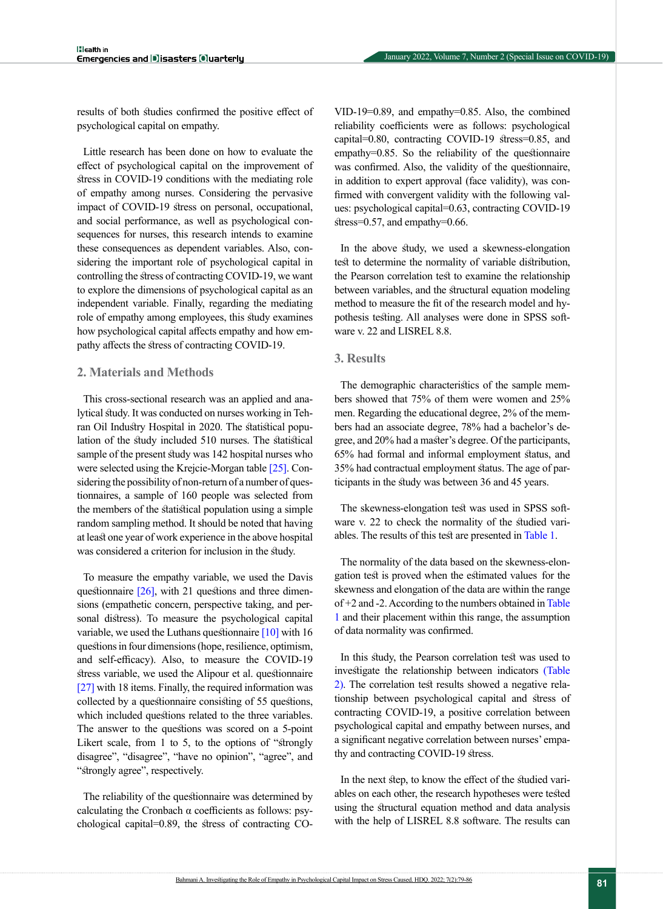results of both studies confirmed the positive effect of psychological capital on empathy.

Little research has been done on how to evaluate the effect of psychological capital on the improvement of stress in COVID-19 conditions with the mediating role of empathy among nurses. Considering the pervasive impact of COVID-19 stress on personal, occupational, and social performance, as well as psychological consequences for nurses, this research intends to examine these consequences as dependent variables. Also, considering the important role of psychological capital in controlling the stress of contracting COVID-19, we want to explore the dimensions of psychological capital as an independent variable. Finally, regarding the mediating role of empathy among employees, this study examines how psychological capital affects empathy and how empathy affects the stress of contracting COVID-19.

## **2. Materials and Methods**

This cross-sectional research was an applied and analytical study. It was conducted on nurses working in Tehran Oil Industry Hospital in 2020. The statistical population of the study included 510 nurses. The statistical sample of the present study was 142 hospital nurses who were selected using the Krejcie-Morgan table [\[25\].](#page-7-5) Considering the possibility of non-return of a number of questionnaires, a sample of 160 people was selected from the members of the statistical population using a simple random sampling method. It should be noted that having at least one year of work experience in the above hospital was considered a criterion for inclusion in the study.

To measure the empathy variable, we used the Davis questionnaire  $[26]$ , with 21 questions and three dimensions (empathetic concern, perspective taking, and personal distress). To measure the psychological capital variable, we used the Luthans questionnaire  $[10]$  with 16 questions in four dimensions (hope, resilience, optimism, and self-efficacy). Also, to measure the COVID-19 stress variable, we used the Alipour et al. questionnaire [\[27\]](#page-7-7) with 18 items. Finally, the required information was collected by a questionnaire consisting of 55 questions, which included questions related to the three variables. The answer to the questions was scored on a 5-point Likert scale, from 1 to 5, to the options of "strongly disagree", "disagree", "have no opinion", "agree", and "strongly agree", respectively.

The reliability of the questionnaire was determined by calculating the Cronbach  $\alpha$  coefficients as follows: psychological capital=0.89, the stress of contracting CO- VID-19=0.89, and empathy=0.85. Also, the combined reliability coefficients were as follows: psychological capital=0.80, contracting COVID-19 stress=0.85, and empathy=0.85. So the reliability of the questionnaire was confirmed. Also, the validity of the questionnaire, in addition to expert approval (face validity), was confirmed with convergent validity with the following values: psychological capital=0.63, contracting COVID-19 stress=0.57, and empathy=0.66.

In the above study, we used a skewness-elongation test to determine the normality of variable distribution, the Pearson correlation test to examine the relationship between variables, and the structural equation modeling method to measure the fit of the research model and hypothesis testing. All analyses were done in SPSS software v. 22 and LISREL 8.8.

# **3. Results**

The demographic characteristics of the sample members showed that 75% of them were women and 25% men. Regarding the educational degree, 2% of the members had an associate degree, 78% had a bachelor's degree, and 20% had a master's degree. Of the participants, 65% had formal and informal employment status, and 35% had contractual employment status. The age of participants in the study was between 36 and 45 years.

The skewness-elongation test was used in SPSS software v. 22 to check the normality of the studied variables. The results of this test are presented in [Table 1.](#page-3-0)

The normality of the data based on the skewness-elongation test is proved when the estimated values for the skewness and elongation of the data are within the range of +2 and -2. According to the numbers obtained in [Table](#page-3-0)  [1](#page-3-0) and their placement within this range, the assumption of data normality was confirmed.

In this study, the Pearson correlation test was used to investigate the relationship between indicators [\(Table](#page-3-1)  [2\).](#page-3-1) The correlation test results showed a negative relationship between psychological capital and stress of contracting COVID-19, a positive correlation between psychological capital and empathy between nurses, and a significant negative correlation between nurses' empathy and contracting COVID-19 stress.

In the next step, to know the effect of the studied variables on each other, the research hypotheses were tested using the structural equation method and data analysis with the help of LISREL 8.8 software. The results can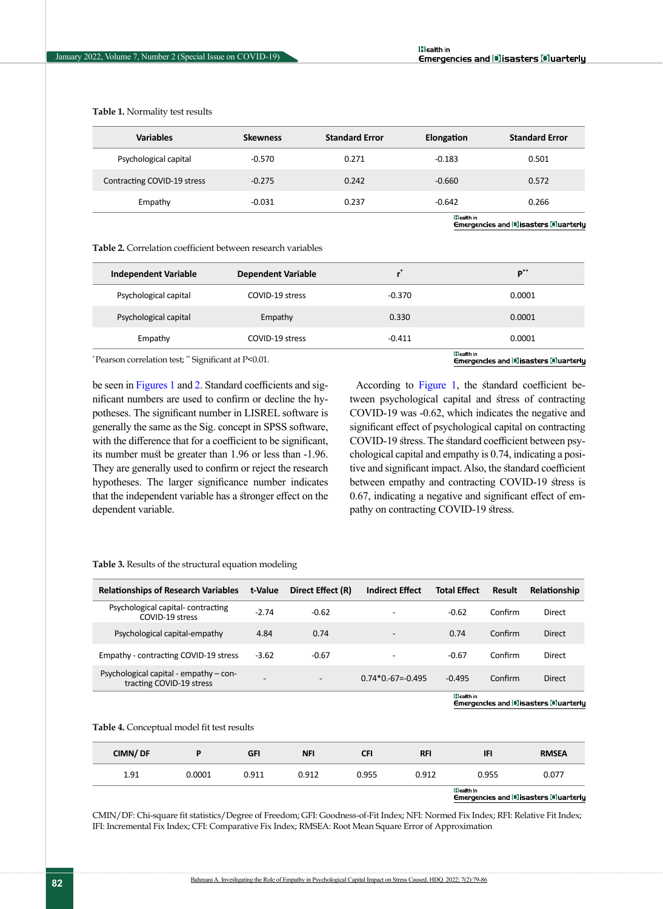<span id="page-3-0"></span>**Table 1.** Normality test results

| <b>Variables</b>            | <b>Skewness</b> | <b>Standard Error</b> | Elongation | <b>Standard Error</b> |
|-----------------------------|-----------------|-----------------------|------------|-----------------------|
| Psychological capital       | $-0.570$        | 0.271                 | $-0.183$   | 0.501                 |
| Contracting COVID-19 stress | $-0.275$        | 0.242                 | $-0.660$   | 0.572                 |
| Empathy                     | $-0.031$        | 0.237                 | $-0.642$   | 0.266                 |
|                             |                 | lilealth in           |            |                       |

Emergencies and Disasters Oluarterly

<span id="page-3-1"></span>**Table 2.** Correlation coefficient between research variables

| <b>Independent Variable</b> | <b>Dependent Variable</b> |          | $\mathbf{D}^{**}$ |
|-----------------------------|---------------------------|----------|-------------------|
| Psychological capital       | COVID-19 stress           | $-0.370$ | 0.0001            |
| Psychological capital       | Empathy                   | 0.330    | 0.0001            |
| Empathy                     | COVID-19 stress           | $-0.411$ | 0.0001            |
|                             |                           |          | <b>Illeath in</b> |

\* Pearson correlation test; \*\* Significant at P<0.01.

Emergencles and Disasters Ouarterly

be seen in [Figures 1](#page-4-0) and [2](#page-4-1). Standard coefficients and significant numbers are used to confirm or decline the hypotheses. The significant number in LISREL software is generally the same as the Sig. concept in SPSS software, with the difference that for a coefficient to be significant, its number must be greater than 1.96 or less than -1.96. They are generally used to confirm or reject the research hypotheses. The larger significance number indicates that the independent variable has a stronger effect on the dependent variable.

According to [Figure 1,](#page-4-0) the standard coefficient between psychological capital and stress of contracting COVID-19 was -0.62, which indicates the negative and significant effect of psychological capital on contracting COVID-19 stress. The standard coefficient between psychological capital and empathy is 0.74, indicating a positive and significant impact. Also, the standard coefficient between empathy and contracting COVID-19 stress is 0.67, indicating a negative and significant effect of empathy on contracting COVID-19 stress.

| <b>Relationships of Research Variables</b>                         | t-Value | Direct Effect (R) | <b>Indirect Effect</b>   | <b>Total Effect</b> | <b>Result</b> | Relationship  |
|--------------------------------------------------------------------|---------|-------------------|--------------------------|---------------------|---------------|---------------|
| Psychological capital-contracting<br>COVID-19 stress               | $-2.74$ | $-0.62$           |                          | $-0.62$             | Confirm       | Direct        |
| Psychological capital-empathy                                      | 4.84    | 0.74              | $\overline{\phantom{a}}$ | 0.74                | Confirm       | <b>Direct</b> |
| Empathy - contracting COVID-19 stress                              | $-3.62$ | $-0.67$           | -                        | $-0.67$             | Confirm       | Direct        |
| Psychological capital - empathy - con-<br>tracting COVID-19 stress |         | -                 | $0.74*0.-67=-0.495$      | $-0.495$            | Confirm       | <b>Direct</b> |
|                                                                    |         |                   |                          | lilealth in         |               |               |

#### <span id="page-3-2"></span>**Table 3.** Results of the structural equation modeling

Emergencies and Disasters Quarterly

<span id="page-3-3"></span>**Table 4.** Conceptual model fit test results

| CIMN/DF |        | <b>GFI</b> | <b>NFI</b> | <b>CFI</b> | <b>RFI</b> | <b>IFI</b>                                                | <b>RMSEA</b> |  |
|---------|--------|------------|------------|------------|------------|-----------------------------------------------------------|--------------|--|
| 1.91    | 0.0001 | 0.911      | 0.912      | 0.955      | 0.912      | 0.955                                                     | 0.077        |  |
|         |        |            |            |            |            | lilealth in<br><b>Emergenetes and Bisasters Quarterly</b> |              |  |

CMIN/DF: Chi-square fit statistics/Degree of Freedom; GFI: Goodness-of-Fit Index; NFI: Normed Fix Index; RFI: Relative Fit Index; IFI: Incremental Fix Index; CFI: Comparative Fix Index; RMSEA: Root Mean Square Error of Approximation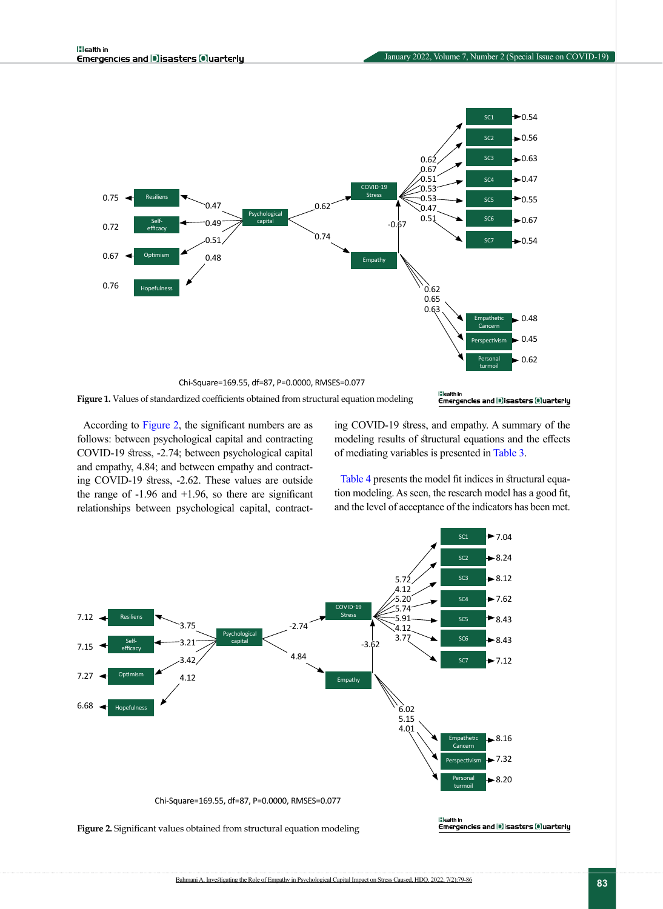

<span id="page-4-0"></span>According to [Figure 2](#page-4-1), the significant numbers are as follows: between psychological capital and contracting COVID-19 stress, -2.74; between psychological capital and empathy, 4.84; and between empathy and contracting COVID-19 stress, -2.62. These values are outside the range of  $-1.96$  and  $+1.96$ , so there are significant relationships between psychological capital, contracting COVID-19 stress, and empathy. A summary of the modeling results of structural equations and the effects of mediating variables is presented in [Table 3](#page-3-2).

[Table 4](#page-3-3) presents the model fit indices in structural equation modeling. As seen, the research model has a good fit, and the level of acceptance of the indicators has been met.

<span id="page-4-1"></span>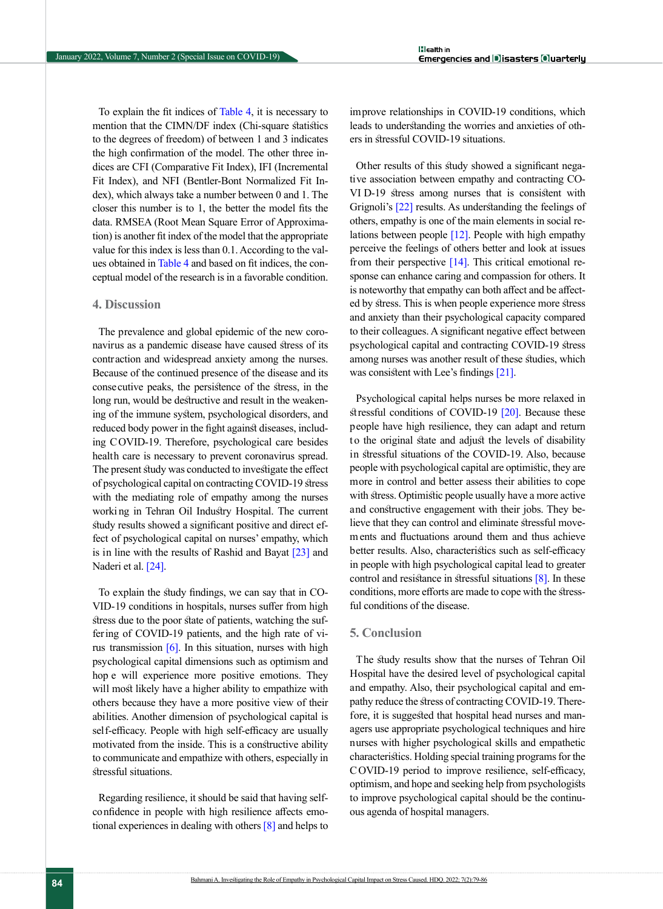To explain the fit indices of [Table 4,](#page-3-3) it is necessary to mention that the CIMN/DF index (Chi-square statistics to the degrees of freedom) of between 1 and 3 indicates the high confirmation of the model. The other three indices are CFI (Comparative Fit Index), IFI (Incremental Fit Index), and NFI (Bentler-Bont Normalized Fit Index), which always take a number between 0 and 1. The closer this number is to 1, the better the model fits the data. RMSEA (Root Mean Square Error of Approximation) is another fit index of the model that the appropriate value for this index is less than 0.1. According to the values obtained in [Table 4](#page-3-3) and based on fit indices, the conceptual model of the research is in a favorable condition.

## **4. Discussion**

The prevalence and global epidemic of the new coronavirus as a pandemic disease have caused stress of its contraction and widespread anxiety among the nurses. Because of the continued presence of the disease and its consecutive peaks, the persistence of the stress, in the long run, would be destructive and result in the weakening of the immune system, psychological disorders, and reduced body power in the fight against diseases, including COVID-19. Therefore, psychological care besides health care is necessary to prevent coronavirus spread. The present study was conducted to investigate the effect of psychological capital on contracting COVID-19 stress with the mediating role of empathy among the nurses worki ng in Tehran Oil Industry Hospital. The current study results showed a significant positive and direct effect of psychological capital on nurses' empathy, which is in line with the results of Rashid and Bayat [\[23\]](#page-7-3) and Naderi et al. [\[24\].](#page-7-4)

To explain the study findings, we can say that in CO-VID-19 conditions in hospitals, nurses suffer from high stress due to the poor state of patients, watching the suffering of COVID-19 patients, and the high rate of virus transmission  $[6]$ . In this situation, nurses with high psychological capital dimensions such as optimism and hop e will experience more positive emotions. They will most likely have a higher ability to empathize with others because they have a more positive view of their abilities. Another dimension of psychological capital is self-efficacy. People with high self-efficacy are usually motivated from the inside. This is a constructive ability to communicate and empathize with others, especially in stressful situations.

Regarding resilience, it should be said that having selfconfidence in people with high resilience affects emotional experiences in dealing with others  $[8]$  and helps to improve relationships in COVID-19 conditions, which leads to understanding the worries and anxieties of others in stressful COVID-19 situations.

Other results of this study showed a significant negative association between empathy and contracting CO-VI D-19 stress among nurses that is consistent with Grignoli'[s \[22\]](#page-7-2) results. As understanding the feelings of others, empathy is one of the main elements in social relations between people [12]. People with high empathy perceive the feelings of others better and look at issues from their perspective  $[14]$ . This critical emotional response can enhance caring and compassion for others. It is noteworthy that empathy can both affect and be affected by stress. This is when people experience more stress and anxiety than their psychological capacity compared to their colleagues. A significant negative effect between psychological capital and contracting COVID-19 stress among nurses was another result of these studies, which was consistent with Lee's findings [21].

Psychological capital helps nurses be more relaxed in stressful conditions of COVID-19 [\[20\].](#page-7-1) Because these people have high resilience, they can adapt and return to the original state and adjust the levels of disability in stressful situations of the COVID-19. Also, because people with psychological capital are optimistic, they are more in control and better assess their abilities to cope with stress. Optimistic people usually have a more active and constructive engagement with their jobs. They believe that they can control and eliminate stressful movem ents and fluctuations around them and thus achieve better results. Also, characteristics such as self-efficacy in people with high psychological capital lead to greater control and resistance in stressful situations [\[8\]](#page-6-6). In these conditions, more efforts are made to cope with the stressful conditions of the disease.

#### **5. Conclusion**

The study results show that the nurses of Tehran Oil Hospital have the desired level of psychological capital and empathy. Also, their psychological capital and empathy reduce the stress of contracting COVID-19. Therefore, it is suggested that hospital head nurses and managers use appropriate psychological techniques and hire nurses with higher psychological skills and empathetic characteristics. Holding special training programs for the C OVID-19 period to improve resilience, self-efficacy, optimism, and hope and seeking help from psychologists to improve psychological capital should be the continuous agenda of hospital managers.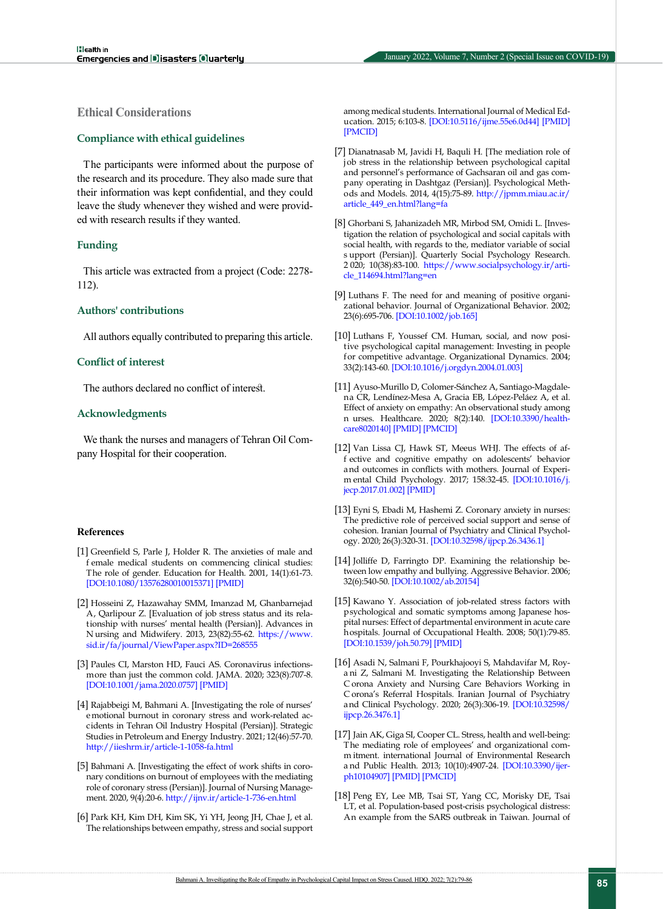# **Ethical Considerations**

#### **Compliance with ethical guidelines**

The participants were informed about the purpose of the research and its procedure. They also made sure that their information was kept confidential, and they could leave the study whenever they wished and were provided with research results if they wanted.

#### **Funding**

This article was extracted from a project (Code: 2278- 112).

#### **Authors' contributions**

All authors equally contributed to preparing this article.

#### **Conflict of interest**

The authors declared no conflict of interest.

#### **Acknowledgments**

We thank the nurses and managers of Tehran Oil Company Hospital for their cooperation.

#### **References**

- <span id="page-6-0"></span>[1] Greenfield S, Parle J, Holder R. The anxieties of male and f emale medical students on commencing clinical studies: The role of gender. Education for Health. 2001, 14(1):61-73. [\[DOI:10.1080/13576280010015371\]](https://doi.org/10.1080/13576280010015371) [\[PMID\]](https://www.ncbi.nlm.nih.gov/pubmed/14742045)
- <span id="page-6-1"></span>[2] Hosseini Z, Hazawahay SMM, Imanzad M, Ghanbarnejad A, Qarlipour Z. [Evaluation of job stress status and its relationship with nurses' mental health (Persian)]. Advances in N ursing and Midwifery. 2013, 23(82):55-62. [https://www.](https://www.sid.ir/fa/journal/ViewPaper.aspx?ID=268555) [sid.ir/fa/journal/ViewPaper.aspx?ID=268555](https://www.sid.ir/fa/journal/ViewPaper.aspx?ID=268555)
- <span id="page-6-2"></span>[3] Paules CI, Marston HD, Fauci AS. Coronavirus infectionsmore than just the common cold. JAMA. 2020; 323(8):707-8. [\[DOI:10.1001/jama.2020.0757](https://doi.org/10.1001/jama.2020.0757)] [\[PMID\]](https://www.ncbi.nlm.nih.gov/pubmed/31971553)
- [4] Rajabbeigi M, Bahmani A. [Investigating the role of nurses' e motional burnout in coronary stress and work-related accidents in Tehran Oil Industry Hospital (Persian)]. Strategic Studies in Petroleum and Energy Industry. 2021; 12(46):57-70. <http://iieshrm.ir/article-1-1058-fa.html>
- <span id="page-6-3"></span>[5] Bahmani A. [Investigating the effect of work shifts in coronary conditions on burnout of employees with the mediating role of coronary stress (Persian)]. Journal of Nursing Management. 2020, 9(4):20-6.<http://ijnv.ir/article-1-736-en.html>
- <span id="page-6-4"></span>[6] Park KH, Kim DH, Kim SK, Yi YH, Jeong JH, Chae J, et al. The relationships between empathy, stress and social support

among medical students. International Journal of Medical Education. 2015; 6:103-8. [\[DOI:10.5116/ijme.55e6.0d44\]](https://doi.org/10.5116/ijme.55e6.0d44) [\[PMID\]](https://www.ncbi.nlm.nih.gov/pubmed/26342190) [[PMCID\]](http://www.ncbi.nlm.nih.gov/pmc/articles/PMC4561553)

- <span id="page-6-5"></span>[7] Dianatnasab M, Javidi H, Baquli H. [The mediation role of j ob stress in the relationship between psychological capital and personnel's performance of Gachsaran oil and gas company operating in Dashtgaz (Persian)]. Psychological Methods and Models. 2014, 4(15):75-89. [http://jpmm.miau.ac.ir/](http://jpmm.miau.ac.ir/article_449_en.html?lang=fa) [article\\_449\\_en.html?lang=fa](http://jpmm.miau.ac.ir/article_449_en.html?lang=fa)
- <span id="page-6-6"></span>[8] Ghorbani S, Jahanizadeh MR, Mirbod SM, Omidi L. [Investigation the relation of psychological and social capitals with social health, with regards to the, mediator variable of social s upport (Persian)]. Quarterly Social Psychology Research. 2 020; 10(38):83-100. [https://www.socialpsychology.ir/arti](https://www.socialpsychology.ir/article_114694.html?lang=en)[cle\\_114694.html?lang=en](https://www.socialpsychology.ir/article_114694.html?lang=en)
- <span id="page-6-7"></span>[9] Luthans F. The need for and meaning of positive organizational behavior. Journal of Organizational Behavior. 2002; 23(6):695-706. [[DOI:10.1002/job.165\]](https://doi.org/10.1002/job.165)
- <span id="page-6-8"></span>[10] Luthans F, Youssef CM. Human, social, and now positive psychological capital management: Investing in people for competitive advantage. Organizational Dynamics. 2004; 33(2):143-60. [[DOI:10.1016/j.orgdyn.2004.01.003](https://doi.org/10.1016/j.orgdyn.2004.01.003)]
- [11] Ayuso-Murillo D, Colomer-Sánchez A, Santiago-Magdalena CR, Lendínez-Mesa A, Gracia EB, López-Peláez A, et al. Effect of anxiety on empathy: An observational study among n urses. Healthcare. 2020; 8(2):140. [\[DOI:10.3390/health](https://doi.org/10.3390/healthcare8020140)[care8020140](https://doi.org/10.3390/healthcare8020140)] [\[PMID\]](https://www.ncbi.nlm.nih.gov/pubmed/32455779) [[PMCID](http://www.ncbi.nlm.nih.gov/pmc/articles/PMC7348913)]
- [12] Van Lissa CJ, Hawk ST, Meeus WHJ. The effects of aff ective and cognitive empathy on adolescents' behavior and outcomes in conflicts with mothers. Journal of Experim ental Child Psychology. 2017; 158:32-45. [\[DOI:10.1016/j.](https://doi.org/10.1016/j.jecp.2017.01.002) [jecp.2017.01.002](https://doi.org/10.1016/j.jecp.2017.01.002)] [\[PMID\]](https://www.ncbi.nlm.nih.gov/pubmed/28189885)
- <span id="page-6-9"></span>[13] Eyni S, Ebadi M, Hashemi Z. Coronary anxiety in nurses: The predictive role of perceived social support and sense of cohesion. Iranian Journal of Psychiatry and Clinical Psychology. 2020; 26(3):320-31. [[DOI:10.32598/ijpcp.26.3436.1](https://doi.org/10.32598/ijpcp.26.3436.1)]
- <span id="page-6-10"></span>[14] Jolliffe D, Farringto DP. Examining the relationship between low empathy and bullying. Aggressive Behavior. 2006; 32(6):540-50. [[DOI:10.1002/ab.20154](https://doi.org/10.1002/ab.20154)]
- <span id="page-6-11"></span>[15] Kawano Y. Association of job-related stress factors with psychological and somatic symptoms among Japanese hospital nurses: Effect of departmental environment in acute care hospitals. Journal of Occupational Health. 2008; 50(1):79-85. [[DOI:10.1539/joh.50.79\]](https://doi.org/10.1539/joh.50.79) [[PMID](https://www.ncbi.nlm.nih.gov/pubmed/18285650)]
- <span id="page-6-12"></span>[16] Asadi N, Salmani F, Pourkhajooyi S, Mahdavifar M, Roya ni Z, Salmani M. Investigating the Relationship Between C orona Anxiety and Nursing Care Behaviors Working in C orona's Referral Hospitals. Iranian Journal of Psychiatry and Clinical Psychology. 2020; 26(3):306-19. [\[DOI:10.32598/](https://doi.org/10.32598/ijpcp.26.3476.1) [ijpcp.26.3476.1](https://doi.org/10.32598/ijpcp.26.3476.1)]
- [17] Jain AK, Giga SI, Cooper CL. Stress, health and well-being: The mediating role of employees' and organizational comm itment. international Journal of Environmental Research a nd Public Health. 2013; 10(10):4907-24. [[DOI:10.3390/ijer](https://doi.org/10.3390/ijerph10104907)[ph10104907](https://doi.org/10.3390/ijerph10104907)] [\[PMID\]](https://www.ncbi.nlm.nih.gov/pubmed/24157512) [[PMCID](http://www.ncbi.nlm.nih.gov/pmc/articles/PMC3823345)]
- <span id="page-6-13"></span>[18] Peng EY, Lee MB, Tsai ST, Yang CC, Morisky DE, Tsai LT, et al. Population-based post-crisis psychological distress: An example from the SARS outbreak in Taiwan. Journal of